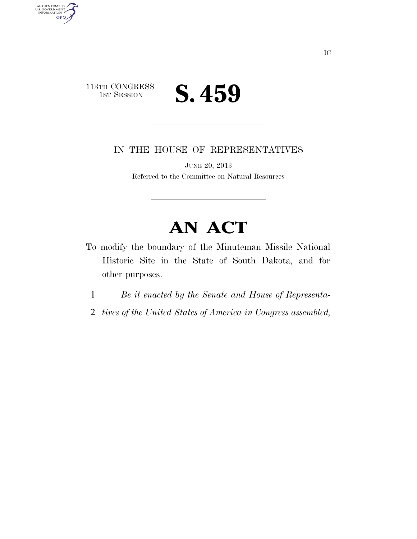

AUTHENTICATED<br>U.S. GOVERNMENT<br>INFORMATION

**GPO** 

IN THE HOUSE OF REPRESENTATIVES

JUNE 20, 2013 Referred to the Committee on Natural Resources

## **AN ACT**

- To modify the boundary of the Minuteman Missile National Historic Site in the State of South Dakota, and for other purposes.
	- 1 *Be it enacted by the Senate and House of Representa-*
	- 2 *tives of the United States of America in Congress assembled,*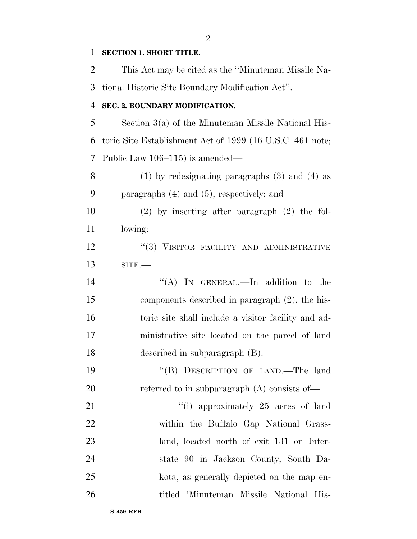## **SECTION 1. SHORT TITLE.**

 This Act may be cited as the ''Minuteman Missile Na-tional Historic Site Boundary Modification Act''.

## **SEC. 2. BOUNDARY MODIFICATION.**

 Section 3(a) of the Minuteman Missile National His- toric Site Establishment Act of 1999 (16 U.S.C. 461 note; Public Law 106–115) is amended—

 (1) by redesignating paragraphs (3) and (4) as paragraphs (4) and (5), respectively; and

 (2) by inserting after paragraph (2) the fol-lowing:

12 "(3) VISITOR FACILITY AND ADMINISTRATIVE SITE.—

14 "(A) In GENERAL.—In addition to the components described in paragraph (2), the his- toric site shall include a visitor facility and ad- ministrative site located on the parcel of land described in subparagraph (B).

 ''(B) DESCRIPTION OF LAND.—The land 20 referred to in subparagraph (A) consists of—

21 ''(i) approximately 25 acres of land within the Buffalo Gap National Grass- land, located north of exit 131 on Inter- state 90 in Jackson County, South Da- kota, as generally depicted on the map en-titled 'Minuteman Missile National His-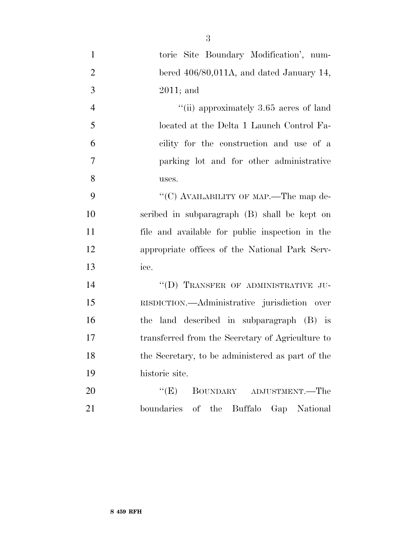| $\mathbf{1}$   | toric Site Boundary Modification', num-               |
|----------------|-------------------------------------------------------|
| $\overline{2}$ | bered 406/80,011A, and dated January 14,              |
| 3              | $2011$ ; and                                          |
| $\overline{4}$ | "(ii) approximately $3.65$ acres of land              |
| 5              | located at the Delta 1 Launch Control Fa-             |
| 6              | cility for the construction and use of a              |
| 7              | parking lot and for other administrative              |
| 8              | uses.                                                 |
| 9              | "(C) AVAILABILITY OF MAP.—The map de-                 |
| 10             | scribed in subparagraph (B) shall be kept on          |
| 11             | file and available for public inspection in the       |
| 12             | appropriate offices of the National Park Serv-        |
| 13             | ice.                                                  |
| 14             | "(D) TRANSFER OF ADMINISTRATIVE JU-                   |
| 15             | RISDICTION.—Administrative jurisdiction over          |
| 16             | the land described in subparagraph (B) is             |
| 17             | transferred from the Secretary of Agriculture to      |
| 18             | the Secretary, to be administered as part of the      |
| 19             | historic site.                                        |
| 20             | ``(E)<br>BOUNDARY ADJUSTMENT.—The                     |
| 21             | boundaries<br>of<br>the<br>Buffalo<br>National<br>Gap |